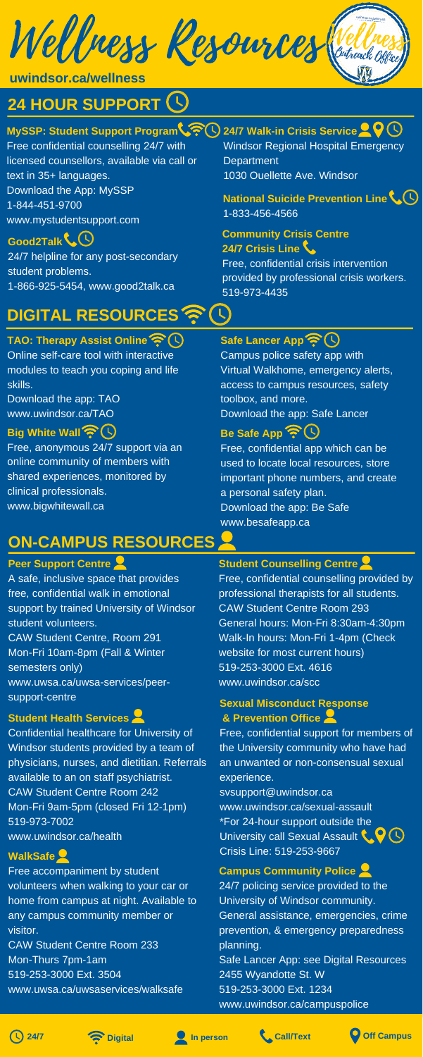Wellness Resources

# **24 HOUR SUPPORT**

## **MySSP: Student Support Program**  $\sqrt{\gamma}$  **( ) 24/7 Walk-in Crisis Service**

Windsor Regional Hospital Emergency **Department** 1030 Ouellette Ave. Windsor

Free confidential counselling 24/7 with licensed counsellors, available via call or text in 35+ languages. Download the App: MySSP 1-844-451-9700 www.mystudentsupport.com

# **ON-CAMPUS RESOURCES**

#### **Student Counselling Centre**

Free, confidential counselling provided by professional therapists for all students. CAW Student Centre Room 293 General hours: Mon-Fri 8:30am-4:30pm

Walk-In hours: Mon-Fri 1-4pm (Check website for most current hours) 519-253-3000 Ext. 4616 www.uwindsor.ca/scc

## **Peer Support Centre**

A safe, inclusive space that provides free, confidential walk in emotional support by trained University of Windsor student volunteers.

CAW Student Centre, Room 291 Mon-Fri 10am-8pm (Fall & Winter semesters only) www.uwsa.ca/uwsa-services/peersupport-centre

#### **Student Health Services**

Confidential healthcare for University of Windsor students provided by a team of physicians, nurses, and dietitian. Referrals available to an on staff psychiatrist. CAW Student Centre Room 242 Mon-Fri 9am-5pm (closed Fri 12-1pm) 519-973-7002 www.uwindsor.ca/health

## **Community Crisis Centre 24/7 Crisis Line**

University call Sexual Assault C  $\bigcirc$ Crisis Line: 519-253-9667 **WalkSafe**

Free, confidential crisis intervention provided by professional crisis workers. 519-973-4435

**Good2Talk** 24/7 helpline for any post-secondary student problems. 1-866-925-5454, www.good2talk.ca

> Free, confidential app which can be used to locate local resources, store important phone numbers, and create a personal safety plan. Download the app: Be Safe www.besafeapp.ca

Free, anonymous 24/7 support via an online community of members with shared experiences, monitored by clinical professionals. www.bigwhitewall.ca

**uwindsor.ca/wellness**

# **DIGITAL RESOURCES**

## **TAO: Therapy Assist Online**

Online self-care tool with interactive modules to teach you coping and life skills.

Download the app: TAO www.uwindsor.ca/TAO

# **Big White Wall**

**Safe Lancer App**

Campus police safety app with Virtual Walkhome, emergency alerts, access to campus resources, safety toolbox, and more. Download the app: Safe Lancer

# **Be Safe App 今〇**

#### **Sexual Misconduct Response & Prevention Office**

Free, confidential support for members of the University community who have had an unwanted or non-consensual sexual experience. svsupport@uwindsor.ca www.uwindsor.ca/sexual-assault \*For 24-hour support outside the

Free accompaniment by student volunteers when walking to your car or home from campus at night. Available to any campus community member or visitor.

CAW Student Centre Room 233 Mon-Thurs 7pm-1am 519-253-3000 Ext. 3504 www.uwsa.ca/uwsaservices/walksafe

### **Campus Community Police**

24/7 policing service provided to the University of Windsor community. General assistance, emergencies, crime prevention, & emergency preparedness planning.

Safe Lancer App: see Digital Resources 2455 Wyandotte St. W 519-253-3000 Ext. 1234

www.uwindsor.ca/campuspolice









## **National Suicide Prevention Line** 1-833-456-4566